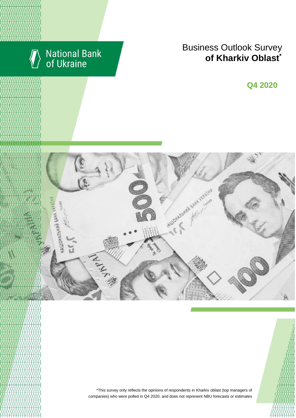

# National Bank<br>of Ukraine

## **Business Outlook Survey of Kharkiv Oblast**

**Q2 2018 Q4 2020**



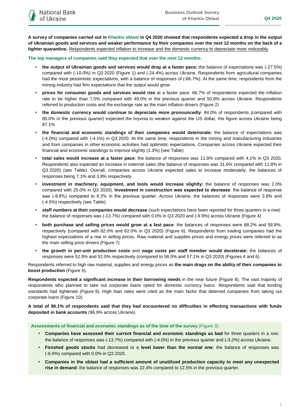**A survey of companies carried out in Kharkiv oblast in Q4 2020 showed that respondents expected a drop in the output of Ukrainian goods and services and weaker performance by their companies over the next 12 months on the back of a tighter quarantine.** Respondents expected inflation to increase and the domestic currency to depreciate more noticeably.

**The top managers of companies said they expected that over the next 12 months:**

- **the output of Ukrainian goods and services would drop at a faster pace:** the balance of expectations was (-27.5%) compared with (-10.0%) in Q3 2020 (Figure 1) and (-24.4%) across Ukraine. Respondents from agricultural companies had the most pessimistic expectations, with a balance of responses of (-66.7%). At the same time, respondents from the mining industry had firm expectations that the output would grow
- **prices for consumer goods and services would rise** at a faster pace: 66.7% of respondents expected the inflation rate to be higher than 7.5% compared with 49.0% in the previous quarter and 50.8% across Ukraine. Respondents referred to production costs and the exchange rate as the main inflation drivers (Figure 2)
- **the domestic currency would continue to depreciate more pronouncedly**: 84.0% of respondents (compared with 80.0% in the previous quarter) expected the hryvnia to weaken against the US dollar, the figure across Ukraine being 87.1%
- **the financial and economic standings of their companies would deteriorate:** the balance of expectations was (-4.0%) compared with (-4.1%) in Q3 2020. At the same time, respondents in the mining and manufacturing industries and from companies in other economic activities had optimistic expectations. Companies across Ukraine expected their financial and economic standings to improve slightly (1.3%) (see Table)
- **total sales would increase at a faster pace**: the balance of responses was 11.8% compared with 4.1% in Q3 2020. Respondents also expected an increase in external sales (the balance of responses was 31.6% compared with 11.8% in Q3 2020) (see Table). Overall, companies across Ukraine expected sales to increase moderately, the balances of responses being 7.1% and 3.8% respectively
- **investment in machinery, equipment, and tools would increase slightly:** the balance of responses was 2.0% compared with 25.0% in Q3 2020). **Investment in construction was expected to decrease**: the balance of response was (-9.8%) compared to 6.3% in the previous quarter. Across Ukraine, the balances of responses were 3.8% and (-4.5%) respectively (see Table)
- **staff numbers at their companies would decrease** (such expectations have been reported for three quarters in a row): the balance of responses was (-13.7%) compared with 0.0% in Q3 2020 and (-9.9%) across Ukraine (Figure 4)
- **both purchase and selling prices would grow at a fast pace**: the balances of responses were 88.2% and 58.8%, respectively (compared with 82.0% and 62.0% in Q3 2020) (Figure 6). Respondents from trading companies had the highest expectations of a rise in selling prices. Raw material and supplies prices and energy prices were referred to as the main selling price drivers (Figure 7)
- **the growth in per-unit production costs** and **wage costs per staff member would decelerate:** the balances of responses were 52.9% and 52.0% respectively (compared to 56.0% and 57.1% in Q3 2020) (Figures 4 and 6).

Respondents referred to high raw material, supplies and energy prices as **the main drags on the ability of their companies to boost production** (Figure 5).

**Respondents expected a significant increase in their borrowing needs** in the near future (Figure 8). The vast majority of respondents who planned to take out corporate loans opted for domestic currency loans. Respondents said that lending standards had tightened (Figure 9). High loan rates were cited as the main factor that deterred companies from taking out corporate loans (Figure 10).

**A total of 96.1% of respondents said that they had encountered no difficulties in effecting transactions with funds deposited in bank accounts** (96.9% across Ukraine).

**Assessments of financial and economic standings as of the time of the survey** (Figure 3)

- **Companies have assessed their current financial and economic standings as bad** for three quarters in a row: the balance of responses was (-13.7%) compared with (-4.0%) in the previous quarter and (-3.2%) across Ukraine.
- **Finished goods stocks** had decreased to a **level lower than the normal one:** the balance of responses was (-6.9%) compared with 0.0% in Q3 2020.
- **Companies in the oblast had a sufficient amount of unutilized production capacity to meet any unexpected rise in demand**: the balance of responses was 22.4% compared to 12.5% in the previous quarter.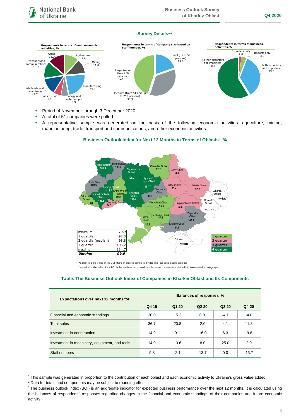## **Survey Details1,2**



- **Period: 4 November through 3 December 2020.**
- A total of 51 companies were polled.
- A representative sample was generated on the basis of the following economic activities: agriculture, mining, manufacturing, trade, transport and communications, and other economic activities.





\*a quartile is the v alue of the BOI where an ordered sample is div ided into f our equal-sized subgroups

\*\*a median is the v alue of the BOI in the middle of an ordered sampled where the sample is divided into two equal-sized subgroups

## **Table. The Business Outlook Index of Companies in Kharkiv Oblast and Its Components**

| <b>Expectations over next 12 months for</b>   | Balances of responses, % |        |                   |        |         |
|-----------------------------------------------|--------------------------|--------|-------------------|--------|---------|
|                                               | Q4 19                    | Q1 20  | Q <sub>2</sub> 20 | Q3 20  | Q4 20   |
| Financial and economic standings              | 20.0                     | 15.2   | 0.0               | $-4.1$ | $-4.0$  |
| Total sales                                   | 36.7                     | 20.8   | $-2.0$            | 4.1    | 11.8    |
| Investment in construction                    | 14.9                     | 9.1    | $-16.0$           | 6.3    | $-9.8$  |
| Investment in machinery, equipment, and tools | 14.0                     | 13.6   | $-8.0$            | 25.0   | 2.0     |
| Staff numbers                                 | 9.8                      | $-2.1$ | $-13.7$           | 0.0    | $-13.7$ |

<sup>1</sup> This sample was generated in proportion to the contribution of each oblast and each economic activity to Ukraine's gross value added.

1

<sup>&</sup>lt;sup>2</sup> Data for totals and components may be subject to rounding effects.

<sup>&</sup>lt;sup>3</sup> The business outlook index (BOI) is an aggregate indicator for expected business performance over the next 12 months. It is calculated using the balances of respondents' responses regarding changes in the financial and economic standings of their companies and future economic activity.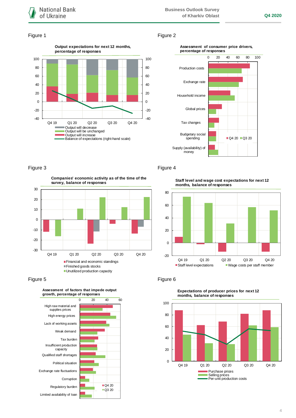

## Figure 1 Figure 2







-30 -20 -10 0 10 20 30 Q4 19 Q1 20 Q2 20 Q3 20 Q4 20 **Companies' economic activity as of the time of the survey, balance of responses** Financial and economic standings Finished goods stocks **Unutilized production capacity** 

Figure 5 **Figure 6** 



Figure 3 Figure 4

**Staff level and wage cost expectations for next 12 months, balance of responses**





**Expectations of producer prices for next 12 months, balance of responses**